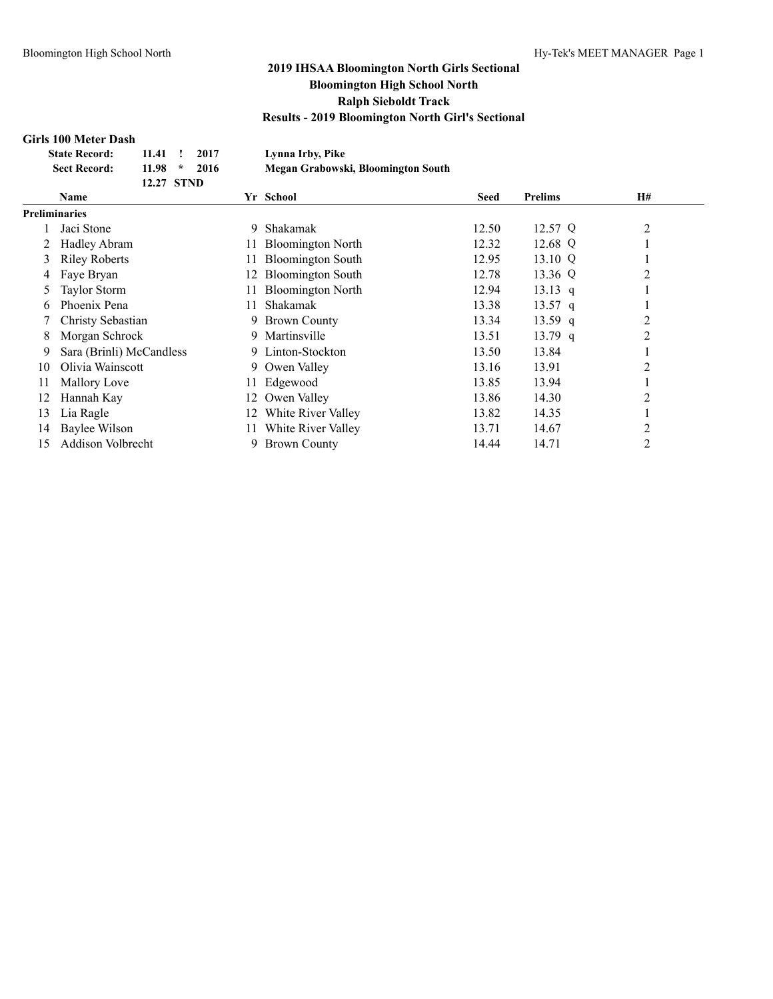### **Girls 100 Meter Dash**

|    | <b>State Record:</b>     | 11.41      |        | 2017 |     | Lynna Irby, Pike                   |             |                |                |  |
|----|--------------------------|------------|--------|------|-----|------------------------------------|-------------|----------------|----------------|--|
|    | <b>Sect Record:</b>      | 11.98      | $\ast$ | 2016 |     | Megan Grabowski, Bloomington South |             |                |                |  |
|    |                          | 12.27 STND |        |      |     |                                    |             |                |                |  |
|    | Name                     |            |        |      |     | Yr School                          | <b>Seed</b> | <b>Prelims</b> | H#             |  |
|    | <b>Preliminaries</b>     |            |        |      |     |                                    |             |                |                |  |
|    | Jaci Stone               |            |        |      | 9   | Shakamak                           | 12.50       | 12.57 Q        | 2              |  |
|    | <b>Hadley Abram</b>      |            |        |      | 11  | <b>Bloomington North</b>           | 12.32       | 12.68 Q        |                |  |
| 3  | <b>Riley Roberts</b>     |            |        |      | 11  | <b>Bloomington South</b>           | 12.95       | 13.10 Q        |                |  |
| 4  | Faye Bryan               |            |        |      | 12. | <b>Bloomington South</b>           | 12.78       | 13.36 Q        | 2              |  |
|    | Taylor Storm             |            |        |      |     | <b>Bloomington North</b>           | 12.94       | $13.13$ q      |                |  |
| 6. | Phoenix Pena             |            |        |      | 11  | Shakamak                           | 13.38       | 13.57 q        |                |  |
|    | Christy Sebastian        |            |        |      |     | 9 Brown County                     | 13.34       | 13.59 q        | 2              |  |
| 8  | Morgan Schrock           |            |        |      |     | 9 Martinsville                     | 13.51       | 13.79 q        | 2              |  |
| 9  | Sara (Brinli) McCandless |            |        |      |     | 9 Linton-Stockton                  | 13.50       | 13.84          |                |  |
| 10 | Olivia Wainscott         |            |        |      |     | 9 Owen Valley                      | 13.16       | 13.91          | 2              |  |
| 11 | Mallory Love             |            |        |      |     | Edgewood                           | 13.85       | 13.94          |                |  |
| 12 | Hannah Kay               |            |        |      | 12. | Owen Valley                        | 13.86       | 14.30          | 2              |  |
| 13 | Lia Ragle                |            |        |      | 12  | White River Valley                 | 13.82       | 14.35          |                |  |
| 14 | Baylee Wilson            |            |        |      | 11  | White River Valley                 | 13.71       | 14.67          | 2              |  |
| 15 | Addison Volbrecht        |            |        |      | 9.  | <b>Brown County</b>                | 14.44       | 14.71          | $\overline{c}$ |  |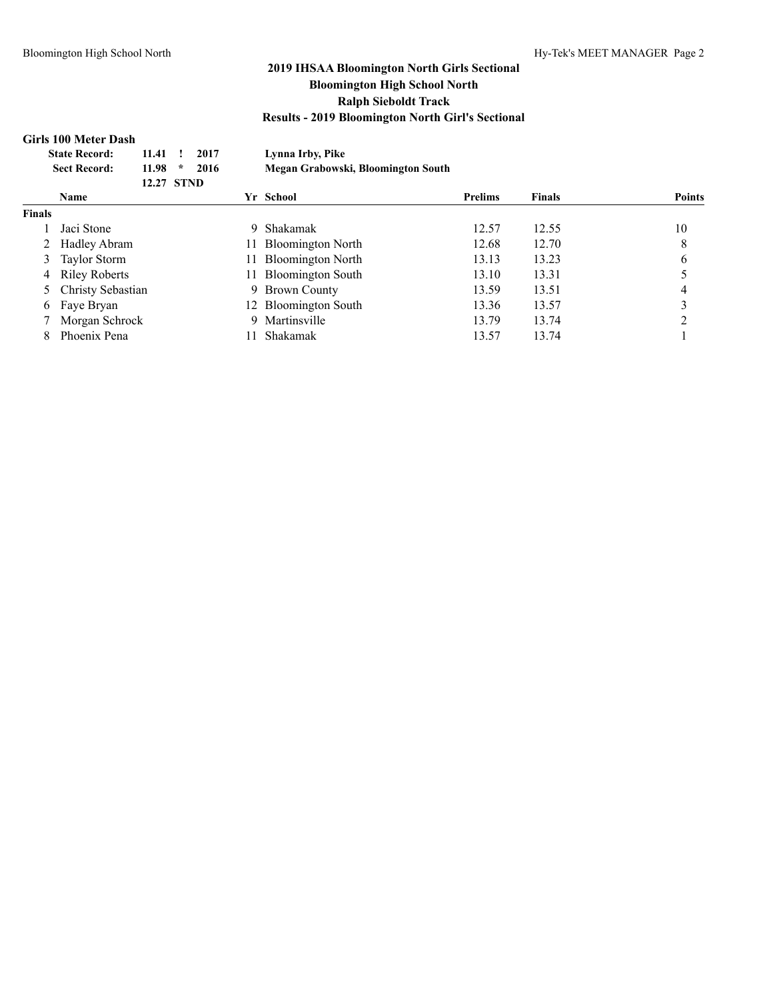### **Girls 100 Meter Dash**

|               | <b>State Record:</b><br><b>Sect Record:</b> | 11.41<br>11.98<br>12.27 STND | $\ast$ | 2017<br>2016 |     | Lynna Irby, Pike<br>Megan Grabowski, Bloomington South |                |               |               |
|---------------|---------------------------------------------|------------------------------|--------|--------------|-----|--------------------------------------------------------|----------------|---------------|---------------|
|               | <b>Name</b>                                 |                              |        |              |     | Yr School                                              | <b>Prelims</b> | <b>Finals</b> | <b>Points</b> |
| <b>Finals</b> |                                             |                              |        |              |     |                                                        |                |               |               |
|               | Jaci Stone                                  |                              |        |              | 9   | Shakamak                                               | 12.57          | 12.55         | 10            |
|               | Hadley Abram                                |                              |        |              | 11. | <b>Bloomington North</b>                               | 12.68          | 12.70         | 8             |
| 3             | Taylor Storm                                |                              |        |              | 11. | <b>Bloomington North</b>                               | 13.13          | 13.23         | 6             |
| 4             | <b>Riley Roberts</b>                        |                              |        |              | 11. | <b>Bloomington South</b>                               | 13.10          | 13.31         |               |
|               | Christy Sebastian                           |                              |        |              |     | 9 Brown County                                         | 13.59          | 13.51         |               |
| 6             | Faye Bryan                                  |                              |        |              |     | 12 Bloomington South                                   | 13.36          | 13.57         |               |
|               | Morgan Schrock                              |                              |        |              | 9   | Martinsville                                           | 13.79          | 13.74         |               |
|               | Phoenix Pena                                |                              |        |              |     | Shakamak                                               | 13.57          | 13.74         |               |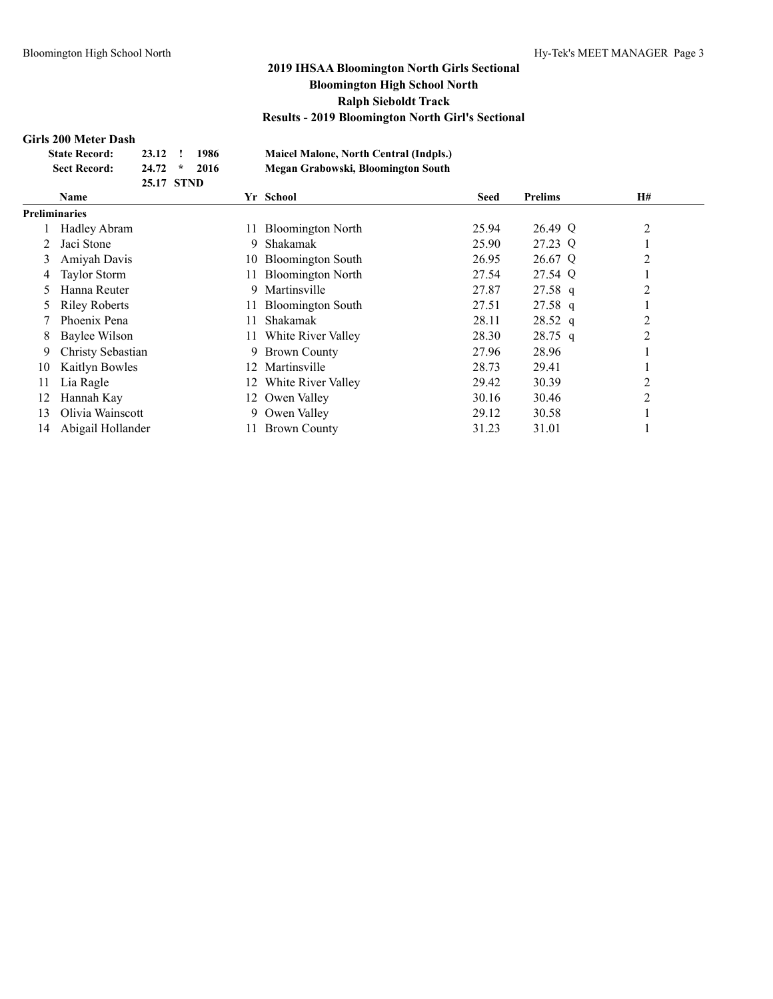### **Girls 200 Meter Dash**

| н із 200 інсті Разн  |                |  |
|----------------------|----------------|--|
| <b>State Record:</b> | 23.12 ! 1986   |  |
| <b>Sect Record:</b>  | $24.72 * 2016$ |  |
|                      | 25.17 STND     |  |

**State Record: 23.12 ! 1986 Maicel Malone, North Central (Indpls.) Sect Record: 24.72 \* 2016 Megan Grabowski, Bloomington South**

|    | <b>Name</b>          |     | Yr School                | <b>Seed</b> | <b>Prelims</b> | <b>H#</b>      |  |
|----|----------------------|-----|--------------------------|-------------|----------------|----------------|--|
|    | <b>Preliminaries</b> |     |                          |             |                |                |  |
|    | <b>Hadley Abram</b>  |     | 11 Bloomington North     | 25.94       | 26.49 Q        | $\overline{2}$ |  |
|    | Jaci Stone           | 9.  | Shakamak                 | 25.90       | 27.23 Q        |                |  |
| 3  | Amiyah Davis         | 10- | <b>Bloomington South</b> | 26.95       | 26.67 Q        | 2              |  |
| 4  | <b>Taylor Storm</b>  | 11- | <b>Bloomington North</b> | 27.54       | 27.54 Q        |                |  |
| 5. | Hanna Reuter         | 9   | Martinsville             | 27.87       | $27.58$ q      | 2              |  |
|    | <b>Riley Roberts</b> |     | <b>Bloomington South</b> | 27.51       | $27.58$ q      |                |  |
|    | Phoenix Pena         | 11. | Shakamak                 | 28.11       | $28.52$ q      | 2              |  |
| 8  | Baylee Wilson        |     | 11 White River Valley    | 28.30       | $28.75$ q      | $\overline{2}$ |  |
| 9  | Christy Sebastian    | 9   | <b>Brown County</b>      | 27.96       | 28.96          |                |  |
| 10 | Kaitlyn Bowles       | 12. | Martinsville             | 28.73       | 29.41          |                |  |
| 11 | Lia Ragle            |     | 12 White River Valley    | 29.42       | 30.39          | 2              |  |
| 12 | Hannah Kay           |     | 12 Owen Valley           | 30.16       | 30.46          | 2              |  |
| 13 | Olivia Wainscott     | 9.  | Owen Valley              | 29.12       | 30.58          |                |  |
| 14 | Abigail Hollander    |     | <b>Brown County</b>      | 31.23       | 31.01          |                |  |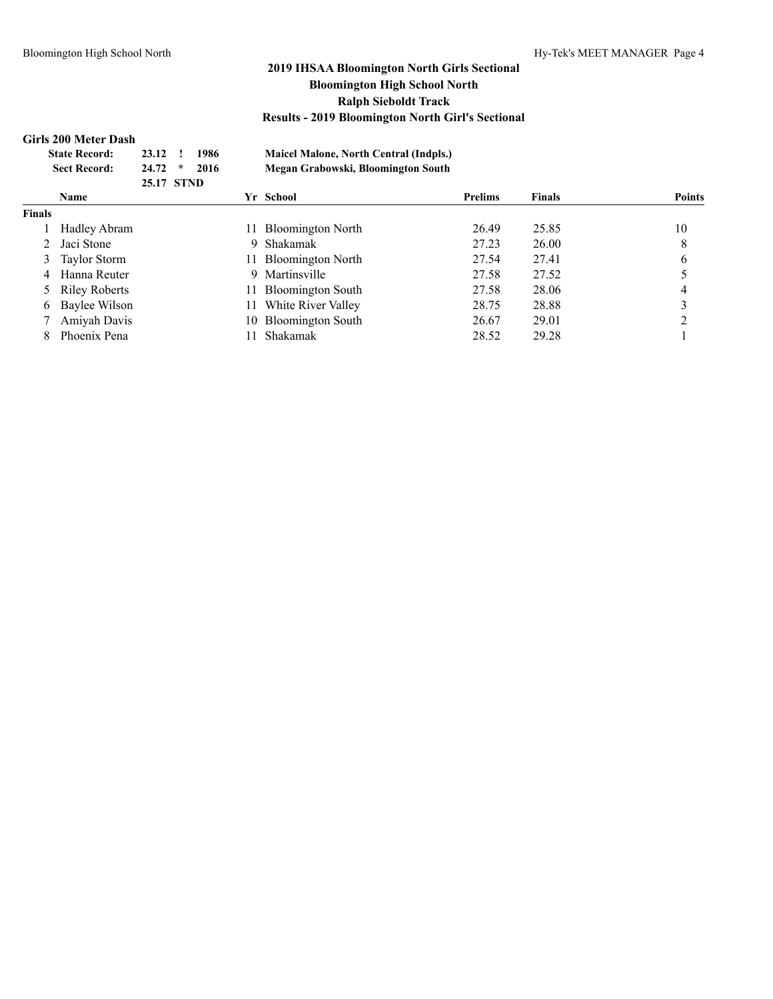### **Girls 200 Meter Dash**

|               | <b>State Record:</b><br><b>Sect Record:</b> | 23.12<br>24.72<br>25.17 STND | $\star$ | 1986<br>2016 |     | <b>Maicel Malone, North Central (Indpls.)</b><br>Megan Grabowski, Bloomington South |                |               |               |
|---------------|---------------------------------------------|------------------------------|---------|--------------|-----|-------------------------------------------------------------------------------------|----------------|---------------|---------------|
|               | <b>Name</b>                                 |                              |         |              |     | Yr School                                                                           | <b>Prelims</b> | <b>Finals</b> | <b>Points</b> |
| <b>Finals</b> |                                             |                              |         |              |     |                                                                                     |                |               |               |
|               | Hadley Abram                                |                              |         |              | 11. | <b>Bloomington North</b>                                                            | 26.49          | 25.85         | 10            |
|               | Jaci Stone                                  |                              |         |              | 9   | Shakamak                                                                            | 27.23          | 26.00         | 8             |
| 3             | Taylor Storm                                |                              |         |              | 11. | <b>Bloomington North</b>                                                            | 27.54          | 27.41         | 6             |
| 4             | Hanna Reuter                                |                              |         |              | 9   | Martinsville                                                                        | 27.58          | 27.52         |               |
|               | <b>Riley Roberts</b>                        |                              |         |              | 11. | <b>Bloomington South</b>                                                            | 27.58          | 28.06         | 4             |
| 6             | Baylee Wilson                               |                              |         |              | 11. | White River Valley                                                                  | 28.75          | 28.88         |               |
|               | Amiyah Davis                                |                              |         |              | 10. | <b>Bloomington South</b>                                                            | 26.67          | 29.01         | ↑             |
|               | Phoenix Pena                                |                              |         |              |     | Shakamak                                                                            | 28.52          | 29.28         |               |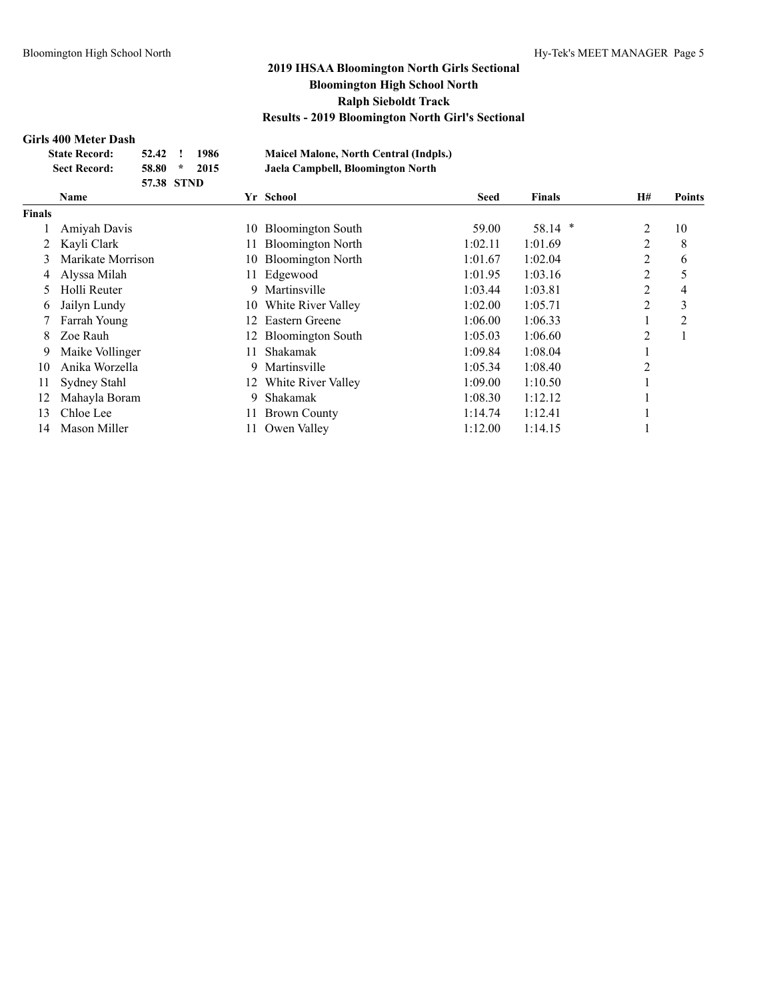# **Girls 400 Meter Dash**

| 400 meter dasti      |            |                 |                                               |
|----------------------|------------|-----------------|-----------------------------------------------|
| <b>State Record:</b> | 52.42      | 1986            | <b>Maicel Malone, North Central (Indpls.)</b> |
| <b>Sect Record:</b>  | 58.80      | $\star$<br>2015 | Jaela Campbell, Bloomington North             |
|                      | 57.38 STND |                 |                                               |

|               | <b>Name</b>       |     | Yr School                | <b>Seed</b> | <b>Finals</b> | H#             | <b>Points</b> |
|---------------|-------------------|-----|--------------------------|-------------|---------------|----------------|---------------|
| <b>Finals</b> |                   |     |                          |             |               |                |               |
|               | Amiyah Davis      | 10  | <b>Bloomington South</b> | 59.00       | 58.14         | 2              | 10            |
|               | Kayli Clark       | 11  | <b>Bloomington North</b> | 1:02.11     | 1:01.69       | 2              | 8             |
| 3             | Marikate Morrison | 10  | <b>Bloomington North</b> | 1:01.67     | 1:02.04       | 2              | 6             |
| 4             | Alyssa Milah      | 11. | Edgewood                 | 1:01.95     | 1:03.16       | $\overline{2}$ |               |
|               | Holli Reuter      | 9   | Martinsville             | 1:03.44     | 1:03.81       | 2              | 4             |
| 6             | Jailyn Lundy      | 10  | White River Valley       | 1:02.00     | 1:05.71       | $\overline{2}$ | 3             |
|               | Farrah Young      | 12  | Eastern Greene           | 1:06.00     | 1:06.33       |                | 2             |
| 8.            | Zoe Rauh          |     | 12 Bloomington South     | 1:05.03     | 1:06.60       | 2              |               |
| 9             | Maike Vollinger   | 11  | Shakamak                 | 1:09.84     | 1:08.04       |                |               |
| 10            | Anika Worzella    | 9   | Martinsville             | 1:05.34     | 1:08.40       | $\overline{c}$ |               |
| 11            | Sydney Stahl      |     | 12 White River Valley    | 1:09.00     | 1:10.50       |                |               |
| 12            | Mahayla Boram     | 9.  | Shakamak                 | 1:08.30     | 1:12.12       |                |               |
| 13            | Chloe Lee         | 11  | <b>Brown County</b>      | 1:14.74     | 1:12.41       |                |               |
| 14            | Mason Miller      |     | Owen Valley              | 1:12.00     | 1:14.15       |                |               |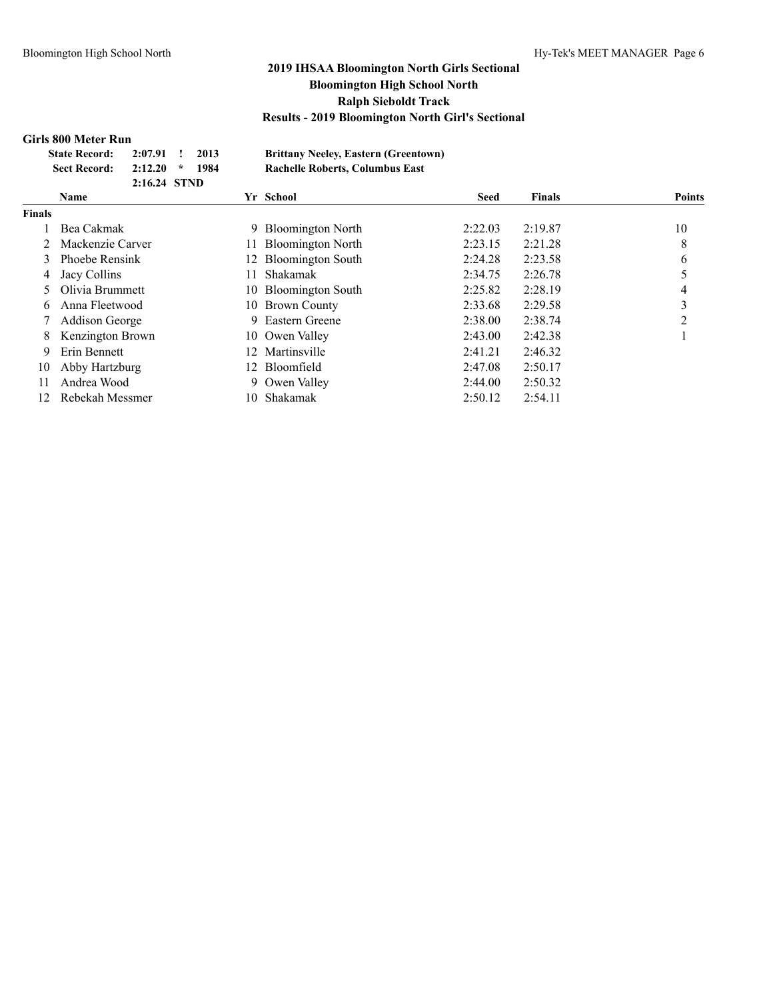### **Girls 800 Meter Run**

|               | <b>State Record:</b> | 2:07.91      | 2013      |     | <b>Brittany Neeley, Eastern (Greentown)</b> |             |               |                               |
|---------------|----------------------|--------------|-----------|-----|---------------------------------------------|-------------|---------------|-------------------------------|
|               | <b>Sect Record:</b>  | 2:12.20      | 1984<br>÷ |     | <b>Rachelle Roberts, Columbus East</b>      |             |               |                               |
|               |                      | 2:16.24 STND |           |     |                                             |             |               |                               |
|               | <b>Name</b>          |              |           |     | Yr School                                   | <b>Seed</b> | <b>Finals</b> | <b>Points</b>                 |
| <b>Finals</b> |                      |              |           |     |                                             |             |               |                               |
|               | Bea Cakmak           |              |           |     | 9 Bloomington North                         | 2:22.03     | 2:19.87       | 10                            |
|               | Mackenzie Carver     |              |           | 11. | <b>Bloomington North</b>                    | 2:23.15     | 2:21.28       | 8                             |
| 3             | Phoebe Rensink       |              |           | 12  | <b>Bloomington South</b>                    | 2:24.28     | 2:23.58       | 6                             |
| 4             | Jacy Collins         |              |           | 11  | Shakamak                                    | 2:34.75     | 2:26.78       |                               |
| 5.            | Olivia Brummett      |              |           | 10- | <b>Bloomington South</b>                    | 2:25.82     | 2:28.19       | 4                             |
| 6             | Anna Fleetwood       |              |           |     | 10 Brown County                             | 2:33.68     | 2:29.58       | 3                             |
|               | Addison George       |              |           | 9.  | Eastern Greene                              | 2:38.00     | 2:38.74       | $\mathfrak{D}_{\mathfrak{p}}$ |
| 8.            | Kenzington Brown     |              |           |     | 10 Owen Valley                              | 2:43.00     | 2:42.38       |                               |
| 9.            | Erin Bennett         |              |           | 12  | Martinsville                                | 2:41.21     | 2:46.32       |                               |
| 10            | Abby Hartzburg       |              |           | 12  | <b>Bloomfield</b>                           | 2:47.08     | 2:50.17       |                               |
| 11            | Andrea Wood          |              |           |     | 9 Owen Valley                               | 2:44.00     | 2:50.32       |                               |
| 12            | Rebekah Messmer      |              |           | 10- | Shakamak                                    | 2:50.12     | 2:54.11       |                               |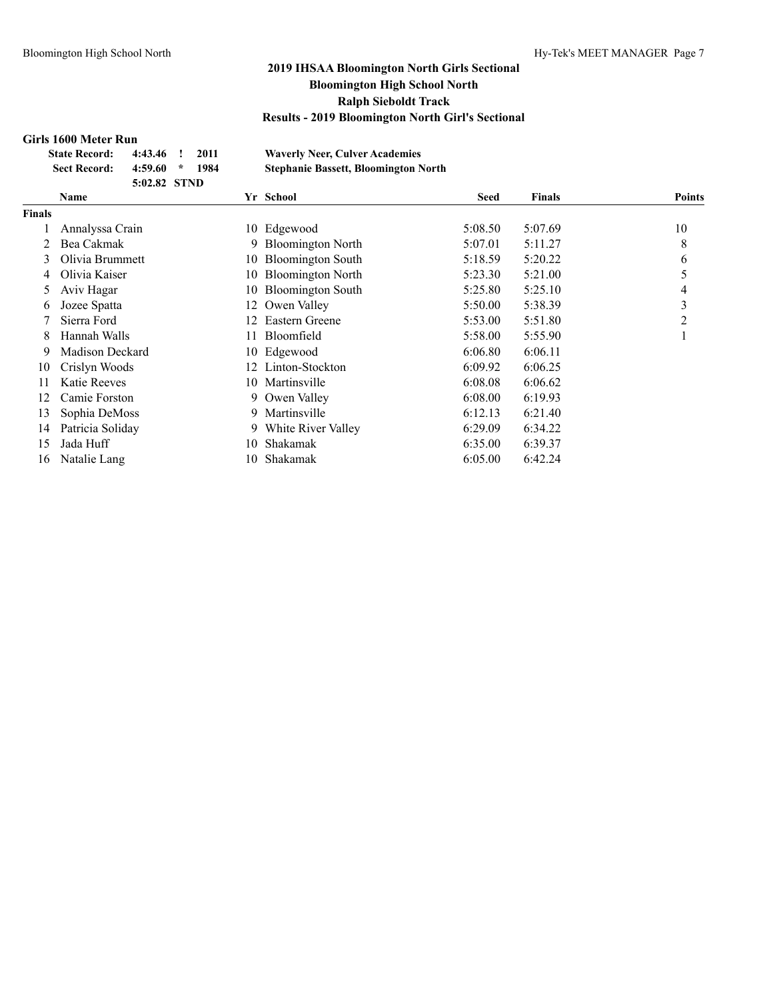### **Girls 1600 Meter Run**

| 3111770011200111     |              |      |                                             |
|----------------------|--------------|------|---------------------------------------------|
| <b>State Record:</b> | 4:43.46      | 2011 | <b>Waverly Neer, Culver Academies</b>       |
| <b>Sect Record:</b>  | $4:59.60$ *  | 1984 | <b>Stephanie Bassett, Bloomington North</b> |
|                      | 5:02.82 STND |      |                                             |
| Name                 |              |      | Vr. School                                  |

|               | Name             |     | Yr School                | <b>Seed</b> | <b>Finals</b> | <b>Points</b> |
|---------------|------------------|-----|--------------------------|-------------|---------------|---------------|
| <b>Finals</b> |                  |     |                          |             |               |               |
|               | Annalyssa Crain  |     | 10 Edgewood              | 5:08.50     | 5:07.69       | 10            |
|               | Bea Cakmak       | 9.  | <b>Bloomington North</b> | 5:07.01     | 5:11.27       | 8             |
| 3             | Olivia Brummett  | 10  | <b>Bloomington South</b> | 5:18.59     | 5:20.22       | 6             |
| 4             | Olivia Kaiser    | 10  | <b>Bloomington North</b> | 5:23.30     | 5:21.00       |               |
| 5             | Aviv Hagar       | 10  | <b>Bloomington South</b> | 5:25.80     | 5:25.10       | 4             |
| 6             | Jozee Spatta     |     | 12 Owen Valley           | 5:50.00     | 5:38.39       | 3             |
|               | Sierra Ford      | 12. | Eastern Greene           | 5:53.00     | 5:51.80       | 2             |
| 8.            | Hannah Walls     | 11. | Bloomfield               | 5:58.00     | 5:55.90       |               |
| 9             | Madison Deckard  |     | 10 Edgewood              | 6:06.80     | 6:06.11       |               |
| 10            | Crislyn Woods    |     | 12 Linton-Stockton       | 6:09.92     | 6:06.25       |               |
| 11            | Katie Reeves     |     | 10 Martinsville          | 6:08.08     | 6:06.62       |               |
| 12            | Camie Forston    |     | 9 Owen Valley            | 6:08.00     | 6:19.93       |               |
| 13            | Sophia DeMoss    | 9   | Martinsville             | 6:12.13     | 6:21.40       |               |
| 14            | Patricia Soliday |     | 9 White River Valley     | 6:29.09     | 6:34.22       |               |
| 15            | Jada Huff        | 10  | Shakamak                 | 6:35.00     | 6:39.37       |               |
| 16            | Natalie Lang     | 10  | Shakamak                 | 6:05.00     | 6:42.24       |               |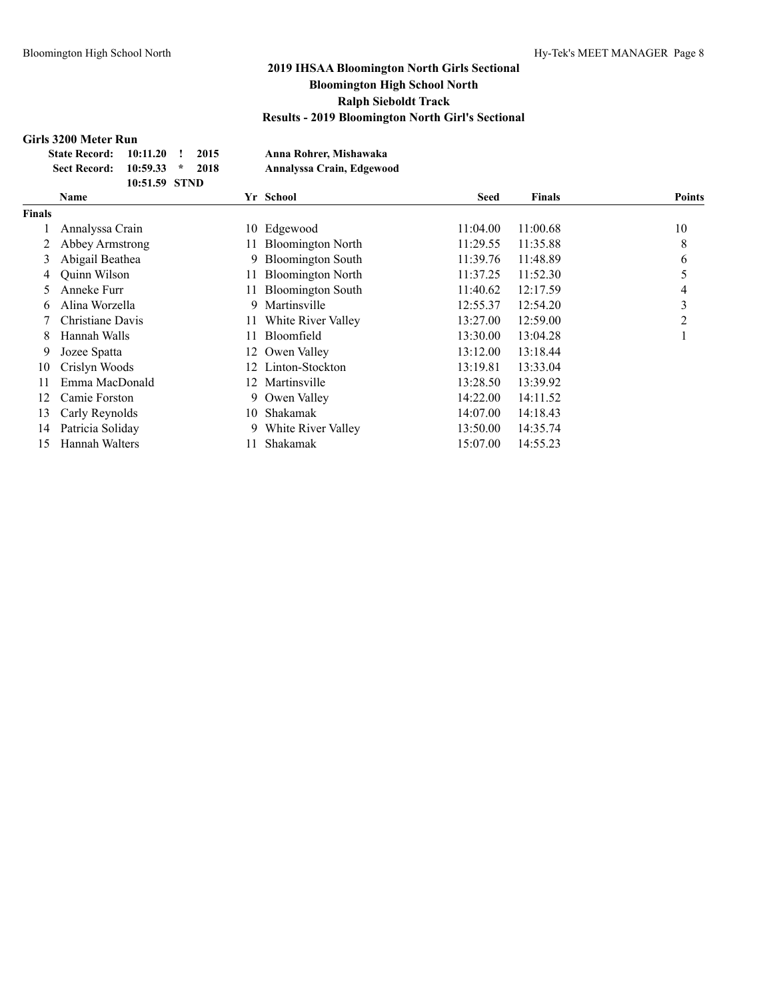#### **Girls 3200 Meter Run**

|        | Girls 3200 Meter Run                               |    |                           |             |          |               |
|--------|----------------------------------------------------|----|---------------------------|-------------|----------|---------------|
|        | <b>State Record:</b><br>2015<br>10:11.20           |    | Anna Rohrer, Mishawaka    |             |          |               |
|        | <b>Sect Record:</b><br>10:59.33<br>2018<br>$\star$ |    | Annalyssa Crain, Edgewood |             |          |               |
|        | 10:51.59 STND                                      |    |                           |             |          |               |
|        | Name                                               |    | Yr School                 | <b>Seed</b> | Finals   | <b>Points</b> |
| Finals |                                                    |    |                           |             |          |               |
|        | Annalyssa Crain                                    | 10 | Edgewood                  | 11:04.00    | 11:00.68 | 10            |
|        | Abbey Armstrong                                    |    | <b>Bloomington North</b>  | 11:29.55    | 11:35.88 | 8             |
| 3      | Abigail Beathea                                    | 9. | <b>Bloomington South</b>  | 11:39.76    | 11:48.89 | 6             |
| 4      | Quinn Wilson                                       | 11 | <b>Bloomington North</b>  | 11:37.25    | 11:52.30 | 5             |
| 5      | Anneke Furr                                        | 11 | <b>Bloomington South</b>  | 11:40.62    | 12:17.59 | 4             |
| 6      | Alina Worzella                                     | 9  | Martinsville              | 12:55.37    | 12:54.20 | 3             |
|        | Christiane Davis                                   | 11 | White River Valley        | 13:27.00    | 12:59.00 | 2             |
| 8      | Hannah Walls                                       | 11 | Bloomfield                | 13:30.00    | 13:04.28 |               |
| 9      | Jozee Spatta                                       | 12 | Owen Valley               | 13:12.00    | 13:18.44 |               |
| 10     | Crislyn Woods                                      | 12 | Linton-Stockton           | 13:19.81    | 13:33.04 |               |
| 11     | Emma MacDonald                                     | 12 | Martinsville              | 13:28.50    | 13:39.92 |               |
| 12     | Camie Forston                                      | 9. | Owen Valley               | 14:22.00    | 14:11.52 |               |
| 13     | Carly Reynolds                                     | 10 | Shakamak                  | 14:07.00    | 14:18.43 |               |
| 14     | Patricia Soliday                                   | 9. | White River Valley        | 13:50.00    | 14:35.74 |               |
| 15     | Hannah Walters                                     | 11 | Shakamak                  | 15:07.00    | 14:55.23 |               |
|        |                                                    |    |                           |             |          |               |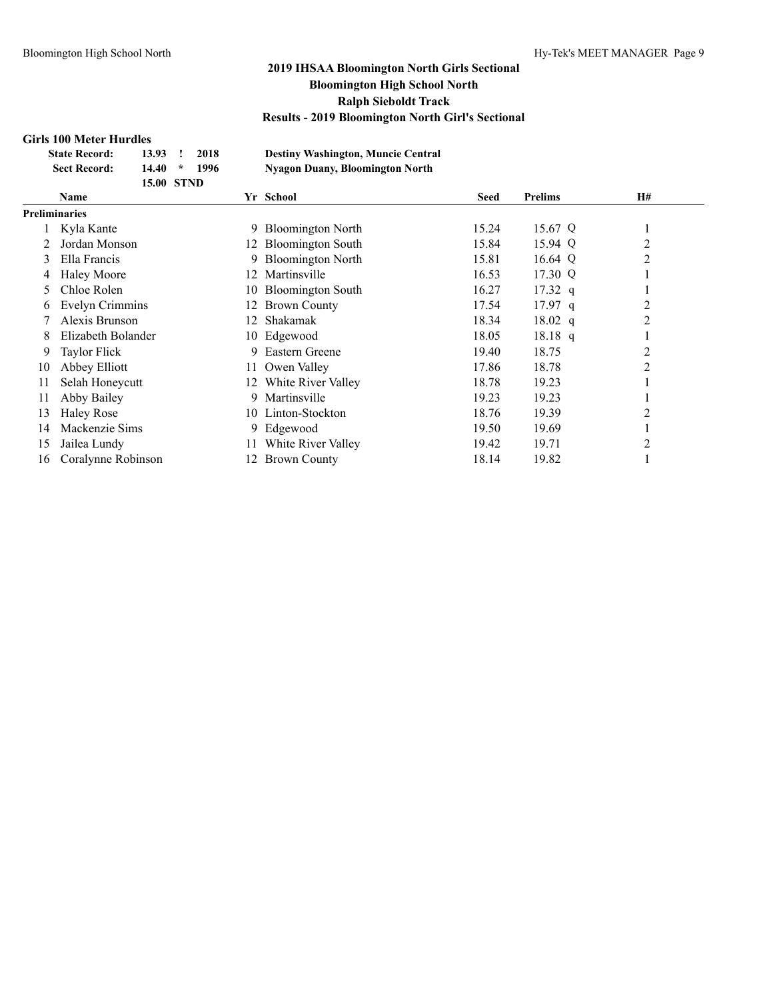### **Girls 100 Meter Hurdles**

| <b>State Record:</b><br>2018<br>13.93 |                     |                   | <b>Destiny Washington, Muncie Central</b> |      |    |                                        |             |                |           |  |
|---------------------------------------|---------------------|-------------------|-------------------------------------------|------|----|----------------------------------------|-------------|----------------|-----------|--|
|                                       | <b>Sect Record:</b> | 14.40             | $\star$                                   | 1996 |    | <b>Nyagon Duany, Bloomington North</b> |             |                |           |  |
|                                       |                     | <b>15.00 STND</b> |                                           |      |    |                                        |             |                |           |  |
|                                       | <b>Name</b>         |                   |                                           |      |    | Yr School                              | <b>Seed</b> | <b>Prelims</b> | <b>H#</b> |  |
|                                       | Preliminaries       |                   |                                           |      |    |                                        |             |                |           |  |
|                                       | Kyla Kante          |                   |                                           |      | 9  | <b>Bloomington North</b>               | 15.24       | 15.67 Q        | $\bf{I}$  |  |
|                                       | Jordan Monson       |                   |                                           |      | 12 | <b>Bloomington South</b>               | 15.84       | 15.94 Q        | 2         |  |
| 3                                     | Ella Francis        |                   |                                           |      | 9  | <b>Bloomington North</b>               | 15.81       | 16.64 Q        | 2         |  |
| 4                                     | <b>Haley Moore</b>  |                   |                                           |      | 12 | Martinsville                           | 16.53       | 17.30 Q        |           |  |
| 5                                     | Chloe Rolen         |                   |                                           |      | 10 | <b>Bloomington South</b>               | 16.27       | $17.32$ q      |           |  |
| 6                                     | Evelyn Crimmins     |                   |                                           |      | 12 | <b>Brown County</b>                    | 17.54       | $17.97$ q      | 2         |  |
|                                       | Alexis Brunson      |                   |                                           |      |    | Shakamak                               | 18.34       | $18.02\ q$     | 2         |  |
| 8                                     | Elizabeth Bolander  |                   |                                           |      |    | 10 Edgewood                            | 18.05       | $18.18$ q      |           |  |
| 9                                     | Taylor Flick        |                   |                                           |      | 9  | Eastern Greene                         | 19.40       | 18.75          | 2         |  |
| 10                                    | Abbey Elliott       |                   |                                           |      | 11 | Owen Valley                            | 17.86       | 18.78          | 2         |  |
| 11                                    | Selah Honeycutt     |                   |                                           |      | 12 | White River Valley                     | 18.78       | 19.23          |           |  |
| 11                                    | Abby Bailey         |                   |                                           |      | 9  | Martinsville                           | 19.23       | 19.23          |           |  |
| 13                                    | <b>Haley Rose</b>   |                   |                                           |      | 10 | Linton-Stockton                        | 18.76       | 19.39          | 2         |  |
| 14                                    | Mackenzie Sims      |                   |                                           |      | 9  | Edgewood                               | 19.50       | 19.69          |           |  |
| 15                                    | Jailea Lundy        |                   |                                           |      |    | White River Valley                     | 19.42       | 19.71          | 2         |  |
| 16                                    | Coralynne Robinson  |                   |                                           |      |    | <b>Brown County</b>                    | 18.14       | 19.82          |           |  |
|                                       |                     |                   |                                           |      |    |                                        |             |                |           |  |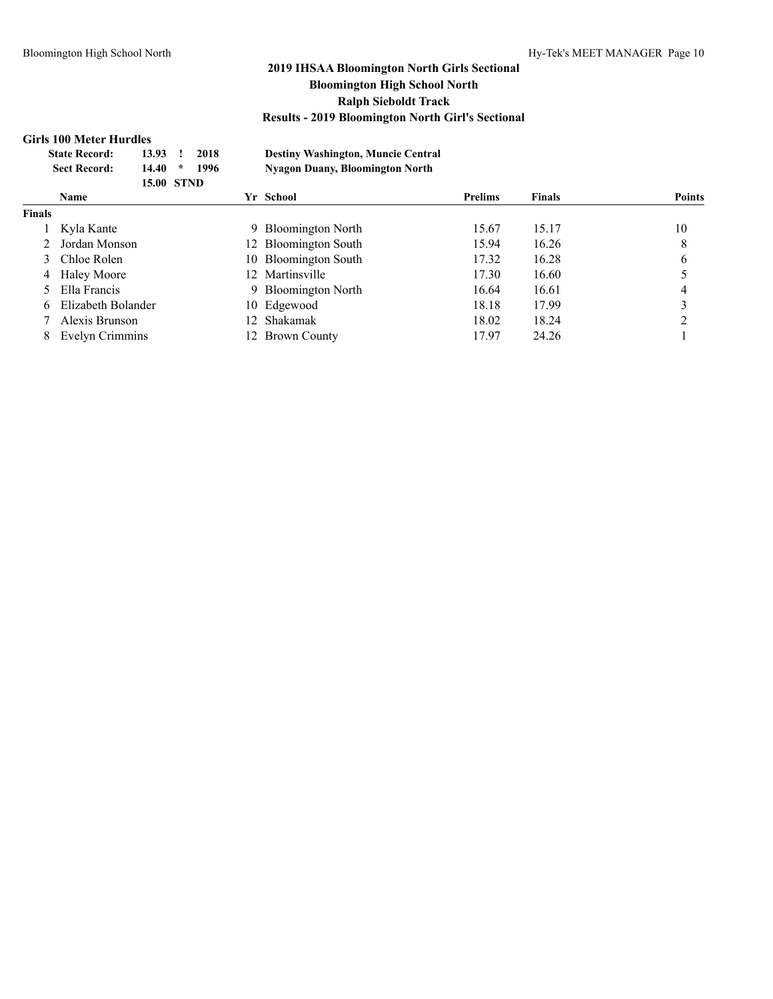### **Girls 100 Meter Hurdles**

|               | <b>State Record:</b><br><b>Sect Record:</b> | 13.93<br>14.40<br><b>15.00 STND</b> | $\star$ | 2018<br>1996 |                 | <b>Destiny Washington, Muncie Central</b><br><b>Nyagon Duany, Bloomington North</b> |                |               |               |
|---------------|---------------------------------------------|-------------------------------------|---------|--------------|-----------------|-------------------------------------------------------------------------------------|----------------|---------------|---------------|
|               | <b>Name</b>                                 |                                     |         |              |                 | Yr School                                                                           | <b>Prelims</b> | <b>Finals</b> | <b>Points</b> |
| <b>Finals</b> |                                             |                                     |         |              |                 |                                                                                     |                |               |               |
|               | Kyla Kante                                  |                                     |         |              |                 | 9 Bloomington North                                                                 | 15.67          | 15.17         | 10            |
|               | Jordan Monson                               |                                     |         |              |                 | 12 Bloomington South                                                                | 15.94          | 16.26         | 8             |
| 3             | Chloe Rolen                                 |                                     |         |              |                 | 10 Bloomington South                                                                | 17.32          | 16.28         | 6             |
| 4             | <b>Haley Moore</b>                          |                                     |         |              | 12 <sup>1</sup> | Martinsville                                                                        | 17.30          | 16.60         |               |
| 5             | Ella Francis                                |                                     |         |              | 9.              | <b>Bloomington North</b>                                                            | 16.64          | 16.61         | 4             |
| 6             | Elizabeth Bolander                          |                                     |         |              |                 | 10 Edgewood                                                                         | 18.18          | 17.99         | ↑             |
|               | Alexis Brunson                              |                                     |         |              | 12.             | Shakamak                                                                            | 18.02          | 18.24         | ◠             |
| 8             | Evelyn Crimmins                             |                                     |         |              |                 | <b>Brown County</b>                                                                 | 17.97          | 24.26         |               |
|               |                                             |                                     |         |              |                 |                                                                                     |                |               |               |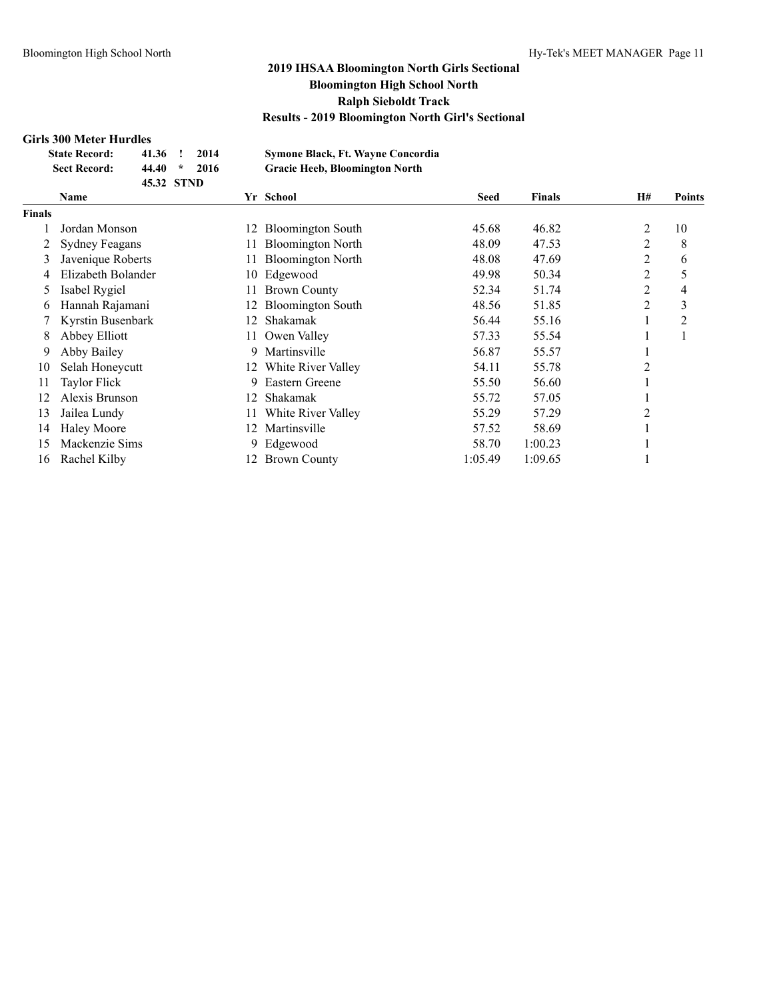### **Girls 300 Meter Hurdles**

| <b>SHIP SOUTHERN HULDER</b> |            |      |                                          |
|-----------------------------|------------|------|------------------------------------------|
| <b>State Record:</b>        | 41.36      | 2014 | <b>Symone Black, Ft. Wayne Concordia</b> |
| <b>Sect Record:</b>         | $44.40*$   | 2016 | <b>Gracie Heeb, Bloomington North</b>    |
|                             | 45.32 STND |      |                                          |

|               | Name                  |     | Yr School                | <b>Seed</b> | <b>Finals</b> | <b>H#</b> | <b>Points</b>  |
|---------------|-----------------------|-----|--------------------------|-------------|---------------|-----------|----------------|
| <b>Finals</b> |                       |     |                          |             |               |           |                |
|               | Jordan Monson         | 12  | <b>Bloomington South</b> | 45.68       | 46.82         | 2         | 10             |
|               | <b>Sydney Feagans</b> | 11  | <b>Bloomington North</b> | 48.09       | 47.53         | 2         | 8              |
| 3             | Javenique Roberts     | 11  | <b>Bloomington North</b> | 48.08       | 47.69         | 2         | 6              |
| 4             | Elizabeth Bolander    | 10  | Edgewood                 | 49.98       | 50.34         | 2         | 5              |
| 5             | Isabel Rygiel         |     | <b>Brown County</b>      | 52.34       | 51.74         | 2         | 4              |
| 6             | Hannah Rajamani       | 12. | <b>Bloomington South</b> | 48.56       | 51.85         | 2         | 3              |
|               | Kyrstin Busenbark     | 12  | Shakamak                 | 56.44       | 55.16         |           | $\overline{2}$ |
| 8             | Abbey Elliott         | 11  | Owen Valley              | 57.33       | 55.54         |           |                |
| 9             | Abby Bailey           | 9   | Martinsville             | 56.87       | 55.57         |           |                |
| 10            | Selah Honeycutt       | 12. | White River Valley       | 54.11       | 55.78         | 2         |                |
| 11            | <b>Taylor Flick</b>   | 9   | Eastern Greene           | 55.50       | 56.60         |           |                |
| 12            | Alexis Brunson        | 12  | Shakamak                 | 55.72       | 57.05         |           |                |
| 13            | Jailea Lundy          | 11  | White River Valley       | 55.29       | 57.29         |           |                |
| 14            | Haley Moore           | 12  | Martinsville             | 57.52       | 58.69         |           |                |
| 15            | Mackenzie Sims        |     | 9 Edgewood               | 58.70       | 1:00.23       |           |                |
| 16            | Rachel Kilby          | 12. | <b>Brown County</b>      | 1:05.49     | 1:09.65       |           |                |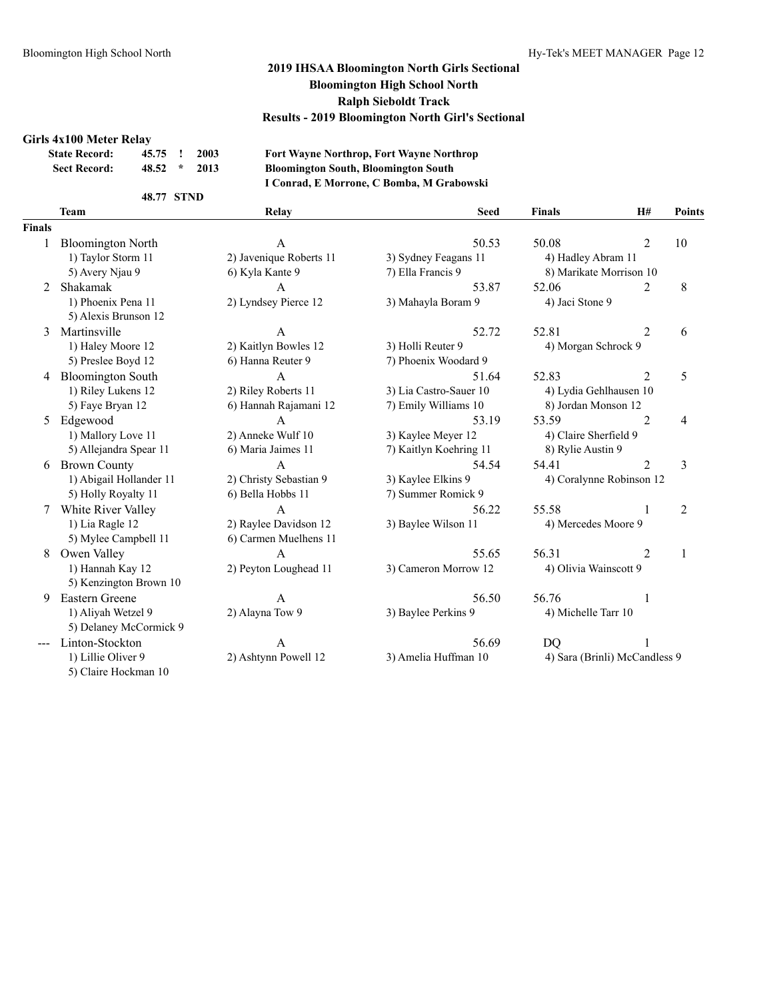#### **Girls 4x100 Meter Relay**

| <b>State Record:</b> | 45.75 ! 2003 |               |      |
|----------------------|--------------|---------------|------|
| <b>Sect Record:</b>  | 48.52        | $\mathcal{R}$ | 2013 |

**State Record: 45.75 ! 2003 Fort Wayne Northrop, Fort Wayne Northrop Sect Record: 48.52 \* 2013 Bloomington South, Bloomington South I Conrad, E Morrone, C Bomba, M Grabowski**

#### **48.77 STND**

|               | <b>Team</b>              | <b>Relay</b>            | <b>Seed</b>            | <b>Finals</b>          | H#                            | Points         |
|---------------|--------------------------|-------------------------|------------------------|------------------------|-------------------------------|----------------|
| <b>Finals</b> |                          |                         |                        |                        |                               |                |
| 1             | <b>Bloomington North</b> | A                       | 50.53                  | 50.08                  | $\overline{2}$                | 10             |
|               | 1) Taylor Storm 11       | 2) Javenique Roberts 11 | 3) Sydney Feagans 11   | 4) Hadley Abram 11     |                               |                |
|               | 5) Avery Njau 9          | 6) Kyla Kante 9         | 7) Ella Francis 9      |                        | 8) Marikate Morrison 10       |                |
| $2^{1}$       | Shakamak                 | $\overline{A}$          | 53.87                  | 52.06                  | 2                             | 8              |
|               | 1) Phoenix Pena 11       | 2) Lyndsey Pierce 12    | 3) Mahayla Boram 9     | 4) Jaci Stone 9        |                               |                |
|               | 5) Alexis Brunson 12     |                         |                        |                        |                               |                |
| 3             | Martinsville             | $\mathbf{A}$            | 52.72                  | 52.81                  | 2                             | 6              |
|               | 1) Haley Moore 12        | 2) Kaitlyn Bowles 12    | 3) Holli Reuter 9      | 4) Morgan Schrock 9    |                               |                |
|               | 5) Preslee Boyd 12       | 6) Hanna Reuter 9       | 7) Phoenix Woodard 9   |                        |                               |                |
| 4             | <b>Bloomington South</b> | $\overline{A}$          | 51.64                  | 52.83                  | $\overline{2}$                | 5              |
|               | 1) Riley Lukens 12       | 2) Riley Roberts 11     | 3) Lia Castro-Sauer 10 | 4) Lydia Gehlhausen 10 |                               |                |
|               | 5) Faye Bryan 12         | 6) Hannah Rajamani 12   | 7) Emily Williams 10   | 8) Jordan Monson 12    |                               |                |
| 5.            | Edgewood                 | $\mathbf{A}$            | 53.19                  | 53.59                  | $\overline{2}$                | 4              |
|               | 1) Mallory Love 11       | 2) Anneke Wulf 10       | 3) Kaylee Meyer 12     | 4) Claire Sherfield 9  |                               |                |
|               | 5) Allejandra Spear 11   | 6) Maria Jaimes 11      | 7) Kaitlyn Koehring 11 | 8) Rylie Austin 9      |                               |                |
| 6             | <b>Brown County</b>      | $\mathsf{A}$            | 54.54                  | 54.41                  | $\overline{2}$                | 3              |
|               | 1) Abigail Hollander 11  | 2) Christy Sebastian 9  | 3) Kaylee Elkins 9     |                        | 4) Coralynne Robinson 12      |                |
|               | 5) Holly Royalty 11      | 6) Bella Hobbs 11       | 7) Summer Romick 9     |                        |                               |                |
|               | White River Valley       | $\overline{A}$          | 56.22                  | 55.58                  | 1                             | $\overline{2}$ |
|               | 1) Lia Ragle 12          | 2) Raylee Davidson 12   | 3) Baylee Wilson 11    | 4) Mercedes Moore 9    |                               |                |
|               | 5) Mylee Campbell 11     | 6) Carmen Muelhens 11   |                        |                        |                               |                |
| 8             | Owen Valley              | A                       | 55.65                  | 56.31                  | $\overline{2}$                | 1              |
|               | 1) Hannah Kay 12         | 2) Peyton Loughead 11   | 3) Cameron Morrow 12   | 4) Olivia Wainscott 9  |                               |                |
|               | 5) Kenzington Brown 10   |                         |                        |                        |                               |                |
| 9             | Eastern Greene           | A                       | 56.50                  | 56.76                  | 1                             |                |
|               | 1) Aliyah Wetzel 9       | 2) Alayna Tow 9         | 3) Baylee Perkins 9    | 4) Michelle Tarr 10    |                               |                |
|               | 5) Delaney McCormick 9   |                         |                        |                        |                               |                |
| $---$         | Linton-Stockton          | A                       | 56.69                  | DQ                     |                               |                |
|               | 1) Lillie Oliver 9       | 2) Ashtynn Powell 12    | 3) Amelia Huffman 10   |                        | 4) Sara (Brinli) McCandless 9 |                |
|               | 5) Claire Hockman 10     |                         |                        |                        |                               |                |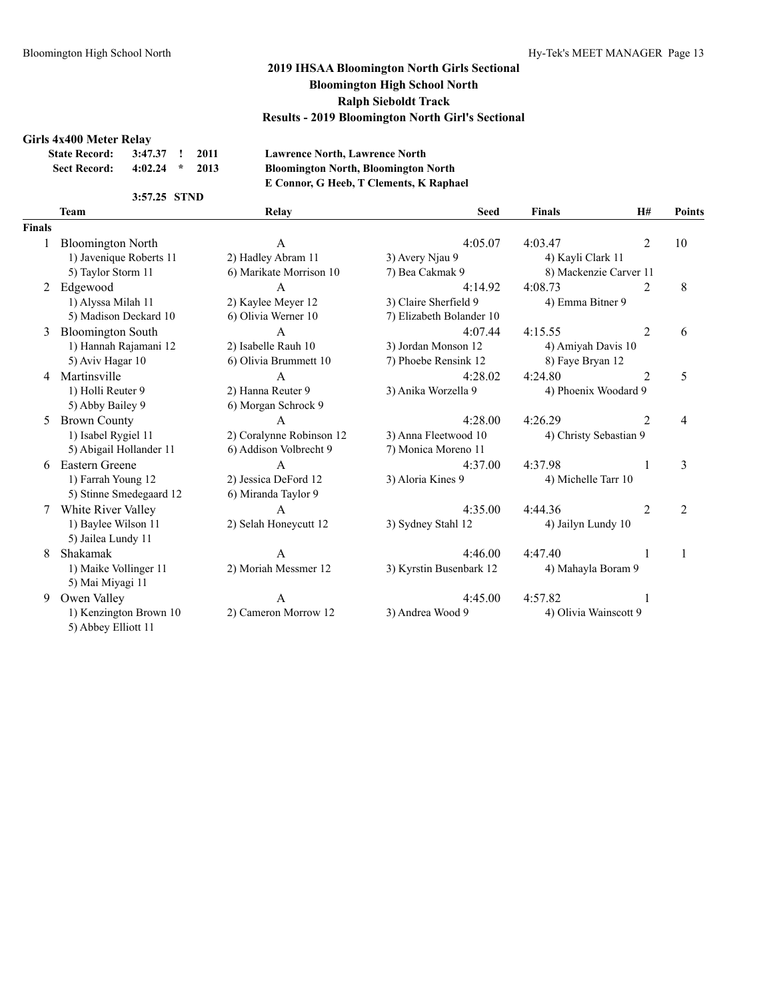### **Girls 4x400 Meter Relay**

| <b>State Record:</b> | 3:47.37 ! 2011 |               |      |
|----------------------|----------------|---------------|------|
| <b>Sect Record:</b>  | 4:02.24        | $\mathcal{R}$ | 2013 |

**State Record: 3:47.37 ! 2011 Lawrence North, Lawrence North Sect Record: 4:02.24 \* 2013 Bloomington North, Bloomington North E Connor, G Heeb, T Clements, K Raphael**

#### **3:57.25 STND**

|               | <b>Team</b>                                   | Relay                    | <b>Seed</b>              | <b>Finals</b>          | H#             | <b>Points</b>  |
|---------------|-----------------------------------------------|--------------------------|--------------------------|------------------------|----------------|----------------|
| <b>Finals</b> |                                               |                          |                          |                        |                |                |
|               | <b>Bloomington North</b>                      | $\mathbf{A}$             | 4:05.07                  | 4:03.47                | $\overline{2}$ | 10             |
|               | 1) Javenique Roberts 11                       | 2) Hadley Abram 11       | 3) Avery Njau 9          | 4) Kayli Clark 11      |                |                |
|               | 5) Taylor Storm 11                            | 6) Marikate Morrison 10  | 7) Bea Cakmak 9          | 8) Mackenzie Carver 11 |                |                |
| 2             | Edgewood                                      | A                        | 4:14.92                  | 4:08.73                | 2              | 8              |
|               | 1) Alyssa Milah 11                            | 2) Kaylee Meyer 12       | 3) Claire Sherfield 9    | 4) Emma Bitner 9       |                |                |
|               | 5) Madison Deckard 10                         | 6) Olivia Werner 10      | 7) Elizabeth Bolander 10 |                        |                |                |
| 3             | <b>Bloomington South</b>                      | $\mathsf{A}$             | 4:07.44                  | 4:15.55                | $\overline{2}$ | 6              |
|               | 1) Hannah Rajamani 12                         | 2) Isabelle Rauh 10      | 3) Jordan Monson 12      | 4) Amiyah Davis 10     |                |                |
|               | 5) Aviv Hagar 10                              | 6) Olivia Brummett 10    | 7) Phoebe Rensink 12     | 8) Faye Bryan 12       |                |                |
| 4             | Martinsville                                  | A                        | 4:28.02                  | 4:24.80                | $\overline{2}$ | 5              |
|               | 1) Holli Reuter 9                             | 2) Hanna Reuter 9        | 3) Anika Worzella 9      | 4) Phoenix Woodard 9   |                |                |
|               | 5) Abby Bailey 9                              | 6) Morgan Schrock 9      |                          |                        |                |                |
| 5.            | <b>Brown County</b>                           | A                        | 4:28.00                  | 4:26.29                | $\overline{2}$ | 4              |
|               | 1) Isabel Rygiel 11                           | 2) Coralynne Robinson 12 | 3) Anna Fleetwood 10     | 4) Christy Sebastian 9 |                |                |
|               | 5) Abigail Hollander 11                       | 6) Addison Volbrecht 9   | 7) Monica Moreno 11      |                        |                |                |
| 6             | <b>Eastern Greene</b>                         | A                        | 4:37.00                  | 4:37.98                |                | 3              |
|               | 1) Farrah Young 12                            | 2) Jessica DeFord 12     | 3) Aloria Kines 9        | 4) Michelle Tarr 10    |                |                |
|               | 5) Stinne Smedegaard 12                       | 6) Miranda Taylor 9      |                          |                        |                |                |
| 7             | White River Valley                            | $\mathsf{A}$             | 4:35.00                  | 4:44.36                | $\overline{2}$ | $\overline{2}$ |
|               | 1) Baylee Wilson 11                           | 2) Selah Honeycutt 12    | 3) Sydney Stahl 12       | 4) Jailyn Lundy 10     |                |                |
|               | 5) Jailea Lundy 11                            |                          |                          |                        |                |                |
| 8             | Shakamak                                      | $\overline{A}$           | 4:46.00                  | 4:47.40                | 1              |                |
|               | 1) Maike Vollinger 11                         | 2) Moriah Messmer 12     | 3) Kyrstin Busenbark 12  | 4) Mahayla Boram 9     |                |                |
|               | 5) Mai Miyagi 11                              |                          |                          |                        |                |                |
| 9             | Owen Valley                                   | $\mathbf{A}$             | 4:45.00                  | 4:57.82                |                |                |
|               | 1) Kenzington Brown 10<br>5) Abbey Elliott 11 | 2) Cameron Morrow 12     | 3) Andrea Wood 9         | 4) Olivia Wainscott 9  |                |                |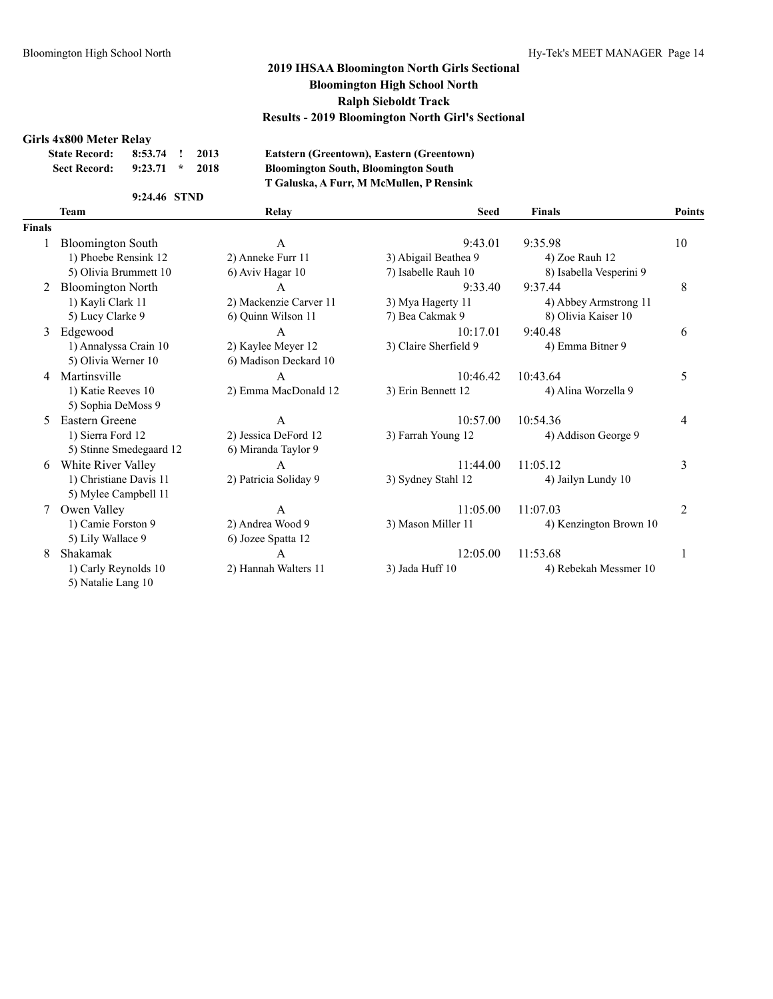#### **Girls 4x800 Meter Relay**

| <b>State Record:</b> | 8:53.74 | 2013 |
|----------------------|---------|------|
| <b>Sect Record:</b>  | 9:23.71 | 2018 |

 $E$ atstern (Greentown), Eastern (Greentown) **Sect Record: 9:23.71 \* 2018 Bloomington South, Bloomington South T Galuska, A Furr, M McMullen, P Rensink**

#### **9:24.46 STND**

|               | <b>Team</b>                                | Relay                  | <b>Seed</b>           | <b>Finals</b>           | Points         |
|---------------|--------------------------------------------|------------------------|-----------------------|-------------------------|----------------|
| <b>Finals</b> |                                            |                        |                       |                         |                |
|               | <b>Bloomington South</b>                   | A                      | 9:43.01               | 9:35.98                 | 10             |
|               | 1) Phoebe Rensink 12                       | 2) Anneke Furr 11      | 3) Abigail Beathea 9  | 4) Zoe Rauh 12          |                |
|               | 5) Olivia Brummett 10                      | 6) Aviv Hagar 10       | 7) Isabelle Rauh 10   | 8) Isabella Vesperini 9 |                |
| 2             | <b>Bloomington North</b>                   | A                      | 9:33.40               | 9:37.44                 | 8              |
|               | 1) Kayli Clark 11                          | 2) Mackenzie Carver 11 | 3) Mya Hagerty 11     | 4) Abbey Armstrong 11   |                |
|               | 5) Lucy Clarke 9                           | 6) Quinn Wilson 11     | 7) Bea Cakmak 9       | 8) Olivia Kaiser 10     |                |
| 3             | Edgewood                                   | A                      | 10:17.01              | 9:40.48                 | 6              |
|               | 1) Annalyssa Crain 10                      | 2) Kaylee Meyer 12     | 3) Claire Sherfield 9 | 4) Emma Bitner 9        |                |
|               | 5) Olivia Werner 10                        | 6) Madison Deckard 10  |                       |                         |                |
| 4             | Martinsville                               | A                      | 10:46.42              | 10:43.64                | 5              |
|               | 1) Katie Reeves 10                         | 2) Emma MacDonald 12   | 3) Erin Bennett 12    | 4) Alina Worzella 9     |                |
|               | 5) Sophia DeMoss 9                         |                        |                       |                         |                |
| 5.            | Eastern Greene                             | A                      | 10:57.00              | 10:54.36                | 4              |
|               | 1) Sierra Ford 12                          | 2) Jessica DeFord 12   | 3) Farrah Young 12    | 4) Addison George 9     |                |
|               | 5) Stinne Smedegaard 12                    | 6) Miranda Taylor 9    |                       |                         |                |
| 6             | White River Valley                         | $\mathsf{A}$           | 11:44.00              | 11:05.12                | 3              |
|               | 1) Christiane Davis 11                     | 2) Patricia Soliday 9  | 3) Sydney Stahl 12    | 4) Jailyn Lundy 10      |                |
|               | 5) Mylee Campbell 11                       |                        |                       |                         |                |
| 7             | Owen Valley                                | A                      | 11:05.00              | 11:07.03                | $\overline{2}$ |
|               | 1) Camie Forston 9                         | 2) Andrea Wood 9       | 3) Mason Miller 11    | 4) Kenzington Brown 10  |                |
|               | 5) Lily Wallace 9                          | 6) Jozee Spatta 12     |                       |                         |                |
| 8             | Shakamak                                   | A                      | 12:05.00              | 11:53.68                |                |
|               | 1) Carly Reynolds 10<br>5) Natalie Lang 10 | 2) Hannah Walters 11   | 3) Jada Huff 10       | 4) Rebekah Messmer 10   |                |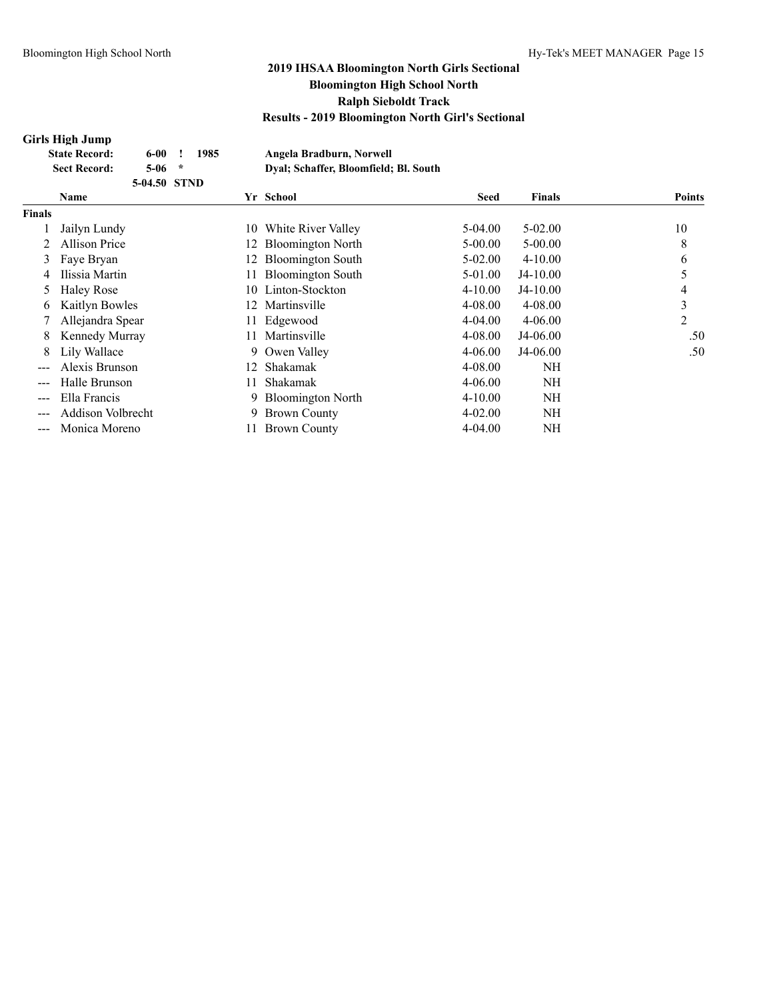### **Girls High Jump**

|               | <b>State Record:</b><br>$6-00$  | 1985    | Angela Bradburn, Norwell              |             |               |               |
|---------------|---------------------------------|---------|---------------------------------------|-------------|---------------|---------------|
|               | <b>Sect Record:</b><br>$5 - 06$ | $\star$ | Dyal; Schaffer, Bloomfield; Bl. South |             |               |               |
|               | 5-04.50 STND                    |         |                                       |             |               |               |
|               | <b>Name</b>                     |         | Yr School                             | Seed        | <b>Finals</b> | <b>Points</b> |
| Finals        |                                 |         |                                       |             |               |               |
|               | Jailyn Lundy                    | 10      | White River Valley                    | 5-04.00     | $5 - 02.00$   | 10            |
| 2             | <b>Allison Price</b>            | 12      | <b>Bloomington North</b>              | $5 - 00.00$ | $5 - 00.00$   | 8             |
| 3             | Faye Bryan                      | 12      | <b>Bloomington South</b>              | $5 - 02.00$ | $4 - 10.00$   | 6             |
|               | Ilissia Martin                  |         | <b>Bloomington South</b>              | 5-01.00     | $J4-10.00$    | 5             |
| 5             | <b>Haley Rose</b>               | 10.     | Linton-Stockton                       | $4 - 10.00$ | $J4-10.00$    | 4             |
| 6             | Kaitlyn Bowles                  | 12      | Martinsville                          | 4-08.00     | $4 - 08.00$   | 3             |
|               | Allejandra Spear                |         | 11 Edgewood                           | 4-04.00     | $4 - 06.00$   | 2             |
| 8             | Kennedy Murray                  | 11.     | Martinsville                          | 4-08.00     | $J4-06.00$    | .50           |
| 8             | Lily Wallace                    | 9.      | Owen Valley                           | $4 - 06.00$ | J4-06.00      | .50           |
| $\frac{1}{2}$ | Alexis Brunson                  | 12      | Shakamak                              | 4-08.00     | NH            |               |
|               | Halle Brunson                   |         | Shakamak                              | $4 - 06.00$ | NH            |               |
| ---           | Ella Francis                    | 9.      | <b>Bloomington North</b>              | $4 - 10.00$ | NH            |               |

- 
- --- Addison Volbrecht 9 Brown County 4-02.00 NH
- --- Monica Moreno 11 Brown County 4-04.00 NH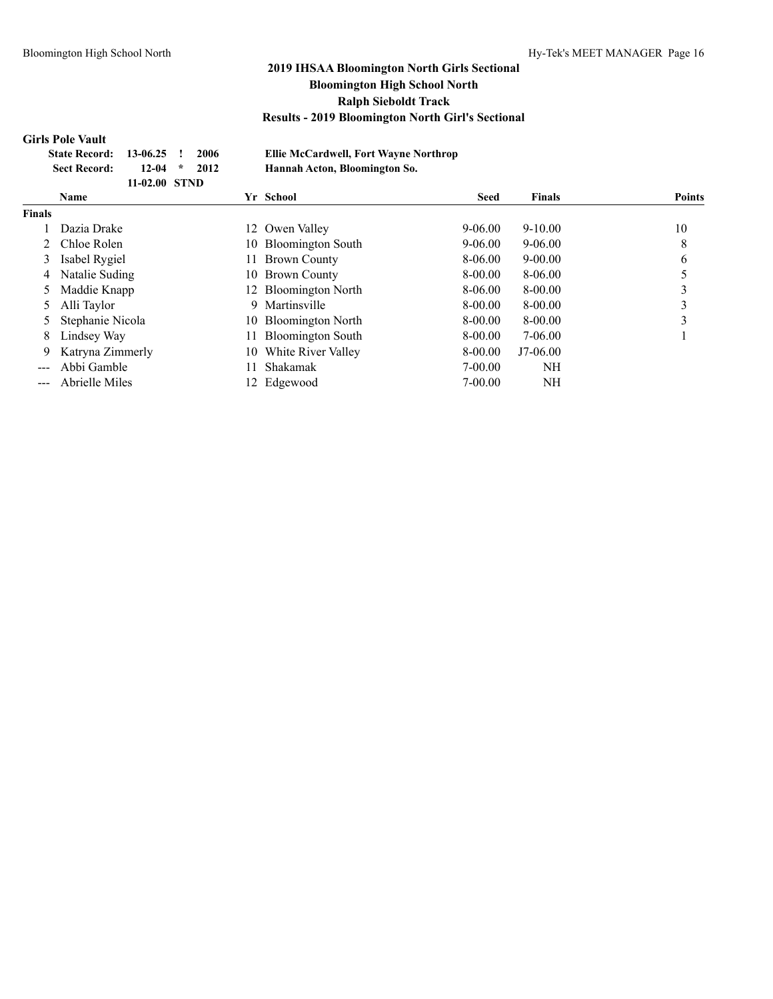### **Girls Pole Vault**

| State Record: 13-06.25 ! 2006 |                       |  |
|-------------------------------|-----------------------|--|
| <b>Sect Record:</b>           | $12-04$ * 2012        |  |
|                               | 11 <b>-02.00 STND</b> |  |

**State Record: 13-06.25 ! 2006 Ellie McCardwell, Fort Wayne Northrop Sect Record: 12-04 \* 2012 Hannah Acton, Bloomington So.**

|               | 11-94.00 31.317  |    |                          |             |               |               |
|---------------|------------------|----|--------------------------|-------------|---------------|---------------|
|               | <b>Name</b>      |    | Yr School                | <b>Seed</b> | <b>Finals</b> | <b>Points</b> |
| <b>Finals</b> |                  |    |                          |             |               |               |
|               | Dazia Drake      |    | 12 Owen Valley           | $9 - 06.00$ | $9 - 10.00$   | 10            |
|               | Chloe Rolen      |    | 10 Bloomington South     | $9 - 06.00$ | $9 - 06.00$   | 8             |
| 3             | Isabel Rygiel    | 11 | <b>Brown County</b>      | 8-06.00     | $9 - 00.00$   | 6             |
| 4             | Natalie Suding   |    | 10 Brown County          | 8-00.00     | 8-06.00       |               |
| 5             | Maddie Knapp     |    | 12 Bloomington North     | 8-06.00     | 8-00.00       |               |
| 5.            | Alli Taylor      | 9  | Martinsville             | 8-00.00     | $8 - 00.00$   |               |
| 5             | Stephanie Nicola |    | 10 Bloomington North     | 8-00.00     | $8 - 00.00$   |               |
| 8             | Lindsey Way      |    | <b>Bloomington South</b> | 8-00.00     | 7-06.00       |               |
| 9             | Katryna Zimmerly | 10 | White River Valley       | 8-00.00     | $J7-06.00$    |               |
|               | Abbi Gamble      | 11 | Shakamak                 | 7-00.00     | NH            |               |
|               | Abrielle Miles   |    | 12 Edgewood              | $7 - 00.00$ | NH            |               |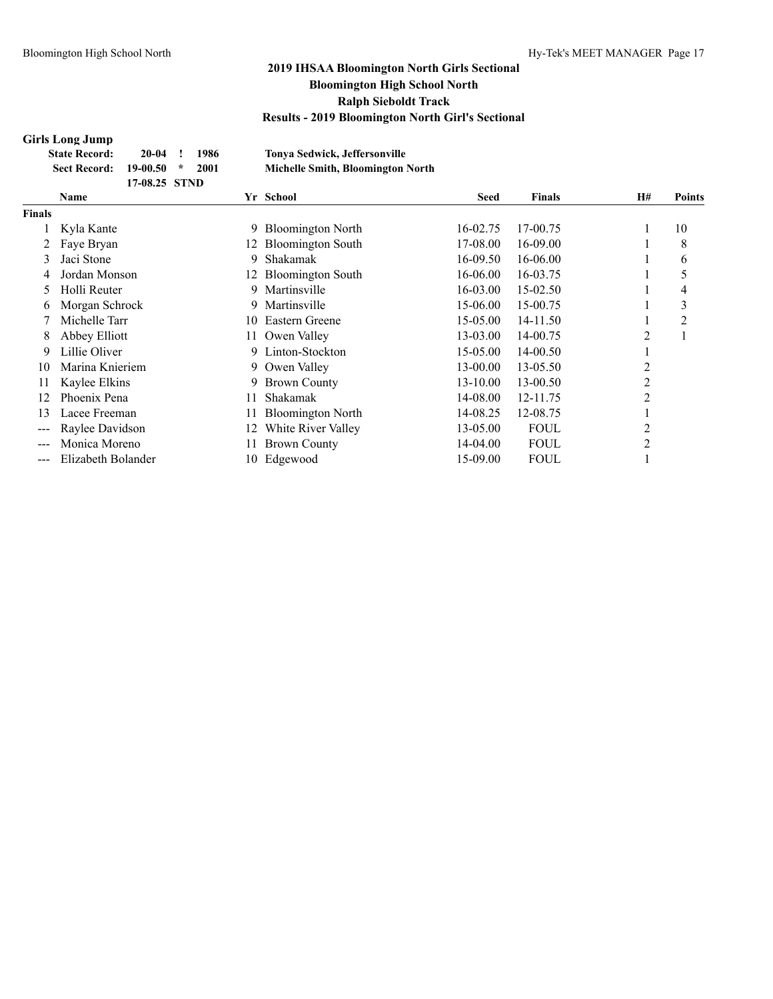#### **Girls Long Jump**

|        | <b>Girls Long Jump</b>                             |    |                                          |             |               |    |               |
|--------|----------------------------------------------------|----|------------------------------------------|-------------|---------------|----|---------------|
|        | <b>State Record:</b><br>$20 - 04$<br>1986<br>Ţ     |    | Tonya Sedwick, Jeffersonville            |             |               |    |               |
|        | <b>Sect Record:</b><br>19-00.50<br>2001<br>$\star$ |    | <b>Michelle Smith, Bloomington North</b> |             |               |    |               |
|        | 17-08.25 STND                                      |    |                                          |             |               |    |               |
|        | <b>Name</b>                                        |    | Yr School                                | <b>Seed</b> | <b>Finals</b> | H# | <b>Points</b> |
| Finals |                                                    |    |                                          |             |               |    |               |
|        | Kyla Kante                                         | 9  | <b>Bloomington North</b>                 | 16-02.75    | 17-00.75      |    | 10            |
|        | Faye Bryan                                         | 12 | <b>Bloomington South</b>                 | 17-08.00    | 16-09.00      |    | 8             |
| 3      | Jaci Stone                                         | 9  | Shakamak                                 | 16-09.50    | 16-06.00      |    | 6             |
| 4      | Jordan Monson                                      |    | <b>Bloomington South</b>                 | 16-06.00    | 16-03.75      | 1  | 5             |
| 5      | Holli Reuter                                       | 9  | Martinsville                             | 16-03.00    | 15-02.50      |    | 4             |
| 6      | Morgan Schrock                                     | 9. | Martinsville                             | 15-06.00    | 15-00.75      |    | 3             |
|        | Michelle Tarr                                      | 10 | Eastern Greene                           | 15-05.00    | 14-11.50      |    | 2             |
| 8      | Abbey Elliott                                      | 11 | Owen Valley                              | 13-03.00    | 14-00.75      | 2  |               |
| 9      | Lillie Oliver                                      | 9. | Linton-Stockton                          | 15-05.00    | 14-00.50      |    |               |
| 10     | Marina Knieriem                                    | 9  | Owen Valley                              | 13-00.00    | 13-05.50      | 2  |               |
| 11     | Kaylee Elkins                                      | 9. | <b>Brown County</b>                      | 13-10.00    | 13-00.50      | 2  |               |
| 12     | Phoenix Pena                                       | 11 | Shakamak                                 | 14-08.00    | 12-11.75      | 2  |               |
| 13     | Lacee Freeman                                      | 11 | <b>Bloomington North</b>                 | 14-08.25    | 12-08.75      |    |               |
| $--$   | Raylee Davidson                                    | 12 | White River Valley                       | 13-05.00    | <b>FOUL</b>   | 2  |               |
|        | Monica Moreno                                      | 11 | <b>Brown County</b>                      | 14-04.00    | <b>FOUL</b>   | 2  |               |
|        | Elizabeth Bolander                                 |    | 10 Edgewood                              | 15-09.00    | <b>FOUL</b>   |    |               |
|        |                                                    |    |                                          |             |               |    |               |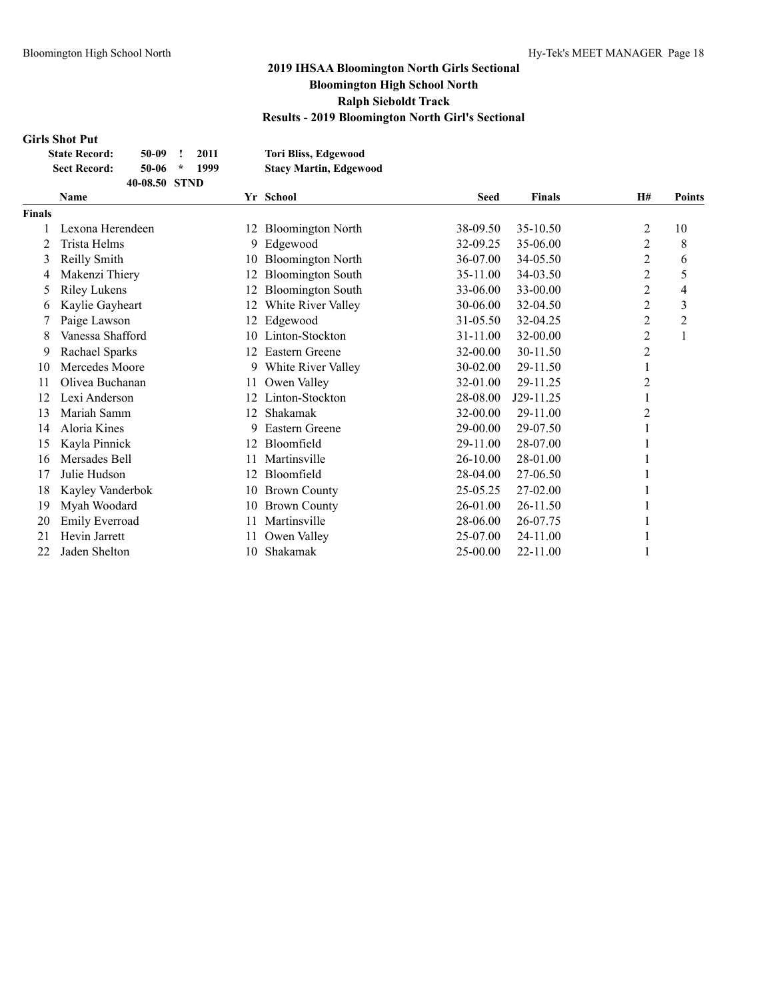### **Girls Shot Put**

| <b>State Record:</b> | 50-09         |     | 2011 | <b>Tori Bliss, Edgewood</b>   |
|----------------------|---------------|-----|------|-------------------------------|
| <b>Sect Record:</b>  | 50-06         | - * | 1999 | <b>Stacy Martin, Edgewood</b> |
|                      | 40-08.50 STND |     |      |                               |

|               | <b>Name</b>           |     | Yr School                | <b>Seed</b> | <b>Finals</b> | H#             | <b>Points</b>  |
|---------------|-----------------------|-----|--------------------------|-------------|---------------|----------------|----------------|
| <b>Finals</b> |                       |     |                          |             |               |                |                |
|               | Lexona Herendeen      | 12  | <b>Bloomington North</b> | 38-09.50    | 35-10.50      | $\overline{2}$ | 10             |
|               | Trista Helms          | 9   | Edgewood                 | 32-09.25    | 35-06.00      | $\overline{2}$ | 8              |
| 3             | Reilly Smith          | 10  | <b>Bloomington North</b> | 36-07.00    | 34-05.50      | 2              | 6              |
| 4             | Makenzi Thiery        | 12. | <b>Bloomington South</b> | 35-11.00    | 34-03.50      | $\overline{2}$ | 5              |
| 5             | <b>Riley Lukens</b>   | 12  | <b>Bloomington South</b> | 33-06.00    | 33-00.00      | $\overline{2}$ | 4              |
| 6             | Kaylie Gayheart       | 12  | White River Valley       | 30-06.00    | 32-04.50      | 2              | 3              |
|               | Paige Lawson          | 12. | Edgewood                 | 31-05.50    | 32-04.25      | 2              | $\overline{2}$ |
| 8             | Vanessa Shafford      | 10  | Linton-Stockton          | 31-11.00    | 32-00.00      | $\overline{2}$ | 1              |
| 9             | Rachael Sparks        | 12  | Eastern Greene           | 32-00.00    | 30-11.50      | 2              |                |
| 10            | Mercedes Moore        | 9   | White River Valley       | 30-02.00    | 29-11.50      |                |                |
| 11            | Olivea Buchanan       | 11  | Owen Valley              | 32-01.00    | 29-11.25      | 2              |                |
| 12            | Lexi Anderson         | 12. | Linton-Stockton          | 28-08.00    | J29-11.25     |                |                |
| 13            | Mariah Samm           | 12  | Shakamak                 | 32-00.00    | 29-11.00      | 2              |                |
| 14            | Aloria Kines          | 9   | Eastern Greene           | 29-00.00    | 29-07.50      |                |                |
| 15            | Kayla Pinnick         | 12  | Bloomfield               | 29-11.00    | 28-07.00      |                |                |
| 16            | Mersades Bell         | 11  | Martinsville             | 26-10.00    | 28-01.00      |                |                |
| 17            | Julie Hudson          | 12. | Bloomfield               | 28-04.00    | 27-06.50      |                |                |
| 18            | Kayley Vanderbok      | 10  | <b>Brown County</b>      | 25-05.25    | 27-02.00      |                |                |
| 19            | Myah Woodard          | 10  | <b>Brown County</b>      | 26-01.00    | 26-11.50      |                |                |
| 20            | <b>Emily Everroad</b> | 11  | Martinsville             | 28-06.00    | 26-07.75      |                |                |
| 21            | Hevin Jarrett         | 11  | Owen Valley              | 25-07.00    | 24-11.00      |                |                |
| 22            | Jaden Shelton         | 10  | Shakamak                 | 25-00.00    | 22-11.00      |                |                |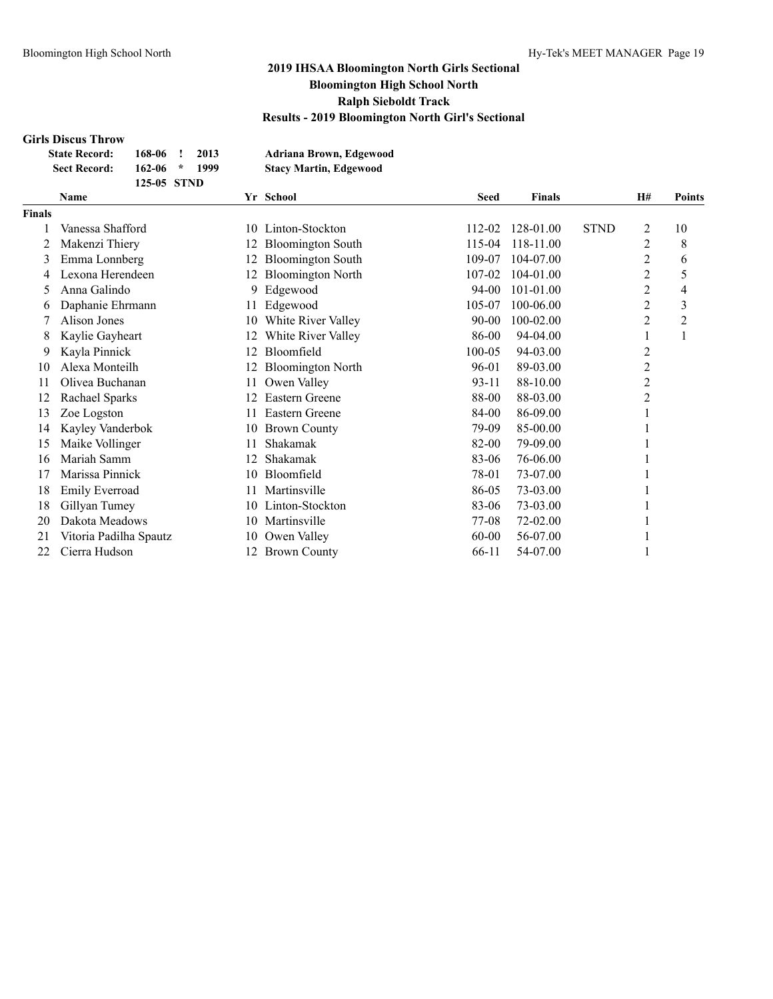### **Girls Discus Throw**

| <b>State Record:</b> | 168-06      | 2013 | Adriana Brown, Edgewood       |
|----------------------|-------------|------|-------------------------------|
| <b>Sect Record:</b>  | $162-06$ *  | 1999 | <b>Stacy Martin, Edgewood</b> |
|                      | 125-05 STND |      |                               |

|        | <b>Name</b>            |    | Yr School                | Seed      | <b>Finals</b> |             | H# | <b>Points</b>  |
|--------|------------------------|----|--------------------------|-----------|---------------|-------------|----|----------------|
| Finals |                        |    |                          |           |               |             |    |                |
|        | Vanessa Shafford       |    | 10 Linton-Stockton       | 112-02    | 128-01.00     | <b>STND</b> | 2  | 10             |
| 2      | Makenzi Thiery         | 12 | <b>Bloomington South</b> | 115-04    | 118-11.00     |             | 2  | 8              |
| 3      | Emma Lonnberg          | 12 | <b>Bloomington South</b> | 109-07    | 104-07.00     |             | 2  | 6              |
| 4      | Lexona Herendeen       |    | <b>Bloomington North</b> | 107-02    | 104-01.00     |             | 2  | 5              |
| 5      | Anna Galindo           | 9  | Edgewood                 | 94-00     | 101-01.00     |             | 2  | 4              |
| 6      | Daphanie Ehrmann       | 11 | Edgewood                 | 105-07    | 100-06.00     |             | 2  | 3              |
|        | Alison Jones           | 10 | White River Valley       | 90-00     | 100-02.00     |             | 2  | $\overline{2}$ |
| 8      | Kaylie Gayheart        | 12 | White River Valley       | 86-00     | 94-04.00      |             |    |                |
| 9      | Kayla Pinnick          | 12 | Bloomfield               | 100-05    | 94-03.00      |             | 2  |                |
| 10     | Alexa Monteilh         | 12 | <b>Bloomington North</b> | 96-01     | 89-03.00      |             | 2  |                |
| 11     | Olivea Buchanan        | 11 | Owen Valley              | $93 - 11$ | 88-10.00      |             | 2  |                |
| 12     | Rachael Sparks         | 12 | Eastern Greene           | 88-00     | 88-03.00      |             | 2  |                |
| 13     | Zoe Logston            |    | Eastern Greene           | 84-00     | 86-09.00      |             |    |                |
| 14     | Kayley Vanderbok       | 10 | <b>Brown County</b>      | 79-09     | 85-00.00      |             |    |                |
| 15     | Maike Vollinger        | 11 | Shakamak                 | 82-00     | 79-09.00      |             |    |                |
| 16     | Mariah Samm            | 12 | Shakamak                 | 83-06     | 76-06.00      |             |    |                |
| 17     | Marissa Pinnick        | 10 | Bloomfield               | 78-01     | 73-07.00      |             |    |                |
| 18     | <b>Emily Everroad</b>  | 11 | Martinsville             | 86-05     | 73-03.00      |             |    |                |
| 18     | Gillyan Tumey          | 10 | Linton-Stockton          | 83-06     | 73-03.00      |             |    |                |
| 20     | Dakota Meadows         | 10 | Martinsville             | 77-08     | 72-02.00      |             |    |                |
| 21     | Vitoria Padilha Spautz | 10 | Owen Valley              | 60-00     | 56-07.00      |             |    |                |
| 22     | Cierra Hudson          | 12 | <b>Brown County</b>      | 66-11     | 54-07.00      |             |    |                |